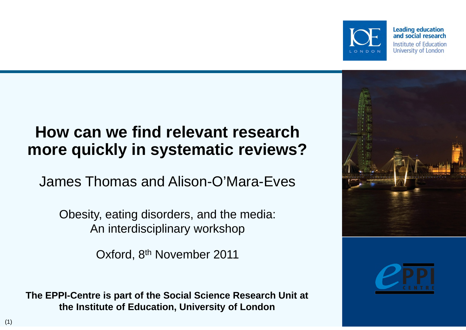

## **How can we find relevant research more quickly in systematic reviews?**

James Thomas and Alison-O'Mara-Eves

Obesity, eating disorders, and the media: An interdisciplinary workshop

Oxford, 8<sup>th</sup> November 2011

**The EPPI-Centre is part of the Social Science Research Unit at the Institute of Education, University of London**



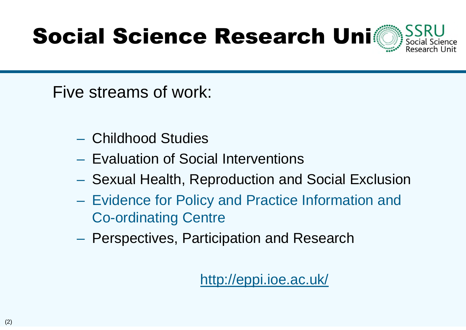# Social Science Research Uni

Five streams of work:

- Childhood Studies
- Evaluation of Social Interventions
- Sexual Health, Reproduction and Social Exclusion
- Evidence for Policy and Practice Information and Co-ordinating Centre
- Perspectives, Participation and Research

#### http://eppi.ioe.ac.uk/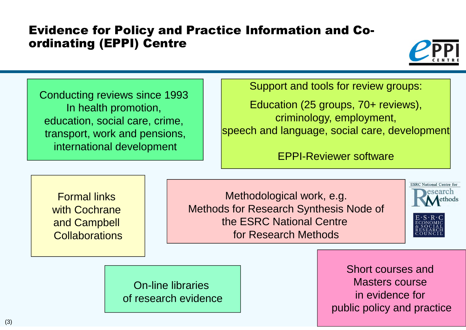#### Evidence for Policy and Practice Information and Coordinating (EPPI) Centre



Conducting reviews since 1993 In health promotion, education, social care, crime, transport, work and pensions, international development

Support and tools for review groups:

Education (25 groups, 70+ reviews), criminology, employment, speech and language, social care, development

EPPI-Reviewer software

Formal links with Cochrane and Campbell **Collaborations** 

Methodological work, e.g. Methods for Research Synthesis Node of the ESRC National Centre for Research Methods





On-line libraries of research evidence

Short courses and Masters course in evidence for public policy and practice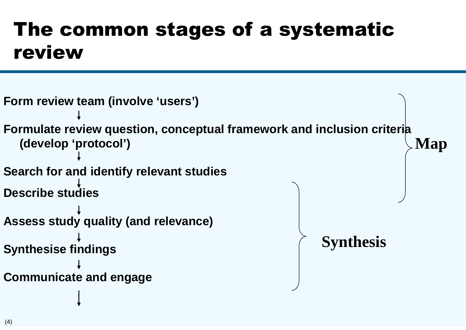#### The common stages of a systematic review

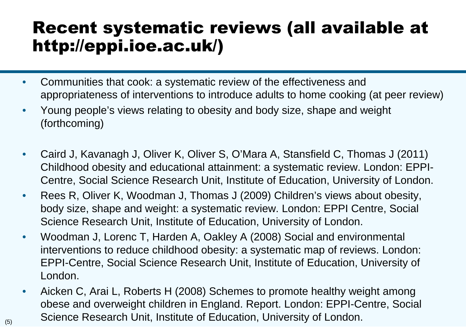#### Recent systematic reviews (all available at http://eppi.ioe.ac.uk/)

- Communities that cook: a systematic review of the effectiveness and appropriateness of interventions to introduce adults to home cooking (at peer review)
- Young people's views relating to obesity and body size, shape and weight (forthcoming)
- Caird J, Kavanagh J, Oliver K, Oliver S, O'Mara A, Stansfield C, Thomas J (2011) Childhood obesity and educational attainment: a systematic review. London: EPPI-Centre, Social Science Research Unit, Institute of Education, University of London.
- Rees R, Oliver K, Woodman J, Thomas J (2009) Children's views about obesity, body size, shape and weight: a systematic review. London: EPPI Centre, Social Science Research Unit, Institute of Education, University of London.
- Woodman J, Lorenc T, Harden A, Oakley A (2008) Social and environmental interventions to reduce childhood obesity: a systematic map of reviews. London: EPPI-Centre, Social Science Research Unit, Institute of Education, University of London.
- Aicken C, Arai L, Roberts H (2008) Schemes to promote healthy weight among obese and overweight children in England. Report. London: EPPI-Centre, Social Science Research Unit, Institute of Education, University of London.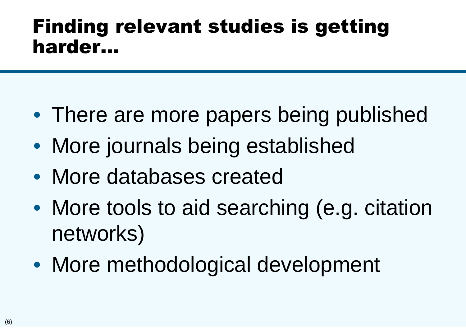#### Finding relevant studies is getting harder…

- There are more papers being published
- More journals being established
- More databases created
- More tools to aid searching (e.g. citation networks)
- More methodological development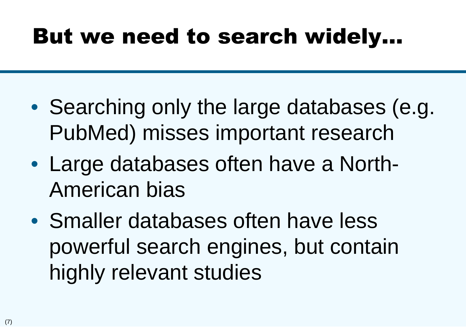#### But we need to search widely…

- Searching only the large databases (e.g. PubMed) misses important research
- Large databases often have a North-American bias
- Smaller databases often have less powerful search engines, but contain highly relevant studies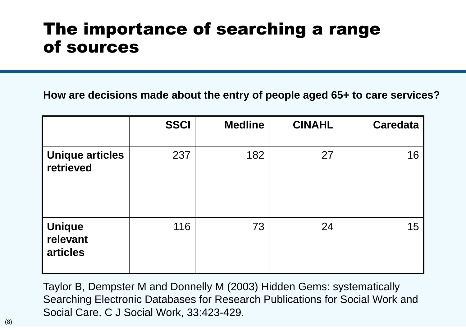#### The importance of searching a range of sources

**How are decisions made about the entry of people aged 65+ to care services?**

|                                | <b>SSCI</b> | <b>Medline</b> | <b>CINAHL</b> | <b>Caredata</b> |
|--------------------------------|-------------|----------------|---------------|-----------------|
| Unique articles<br>retrieved   | 237         | 182            | 27            | 16              |
| Unique<br>relevant<br>articles | 116         | 73             | 24            | 15              |

Taylor B, Dempster M and Donnelly M (2003) Hidden Gems: systematically Searching Electronic Databases for Research Publications for Social Work and Social Care. C J Social Work, 33:423-429.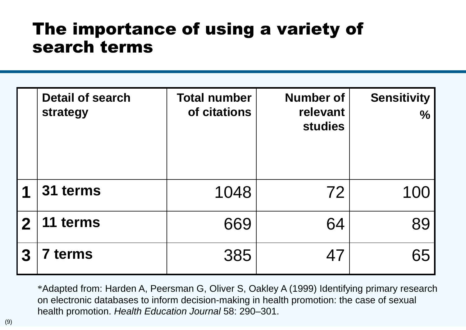#### The importance of using a variety of search terms

|             | <b>Detail of search</b><br>strategy | <b>Total number</b><br>of citations | <b>Number of</b><br>relevant<br><b>studies</b> | <b>Sensitivity</b><br>$\frac{0}{0}$ |
|-------------|-------------------------------------|-------------------------------------|------------------------------------------------|-------------------------------------|
| 1           | 31 terms                            | 1048                                | 72                                             | 100                                 |
| $\mathbf 2$ | 11 terms                            | 669                                 | 64                                             | 89                                  |
| 3           | terms                               | 385                                 | 47                                             | 65                                  |

\*Adapted from: Harden A, Peersman G, Oliver S, Oakley A (1999) Identifying primary research on electronic databases to inform decision-making in health promotion: the case of sexual health promotion. *Health Education Journal* 58: 290–301.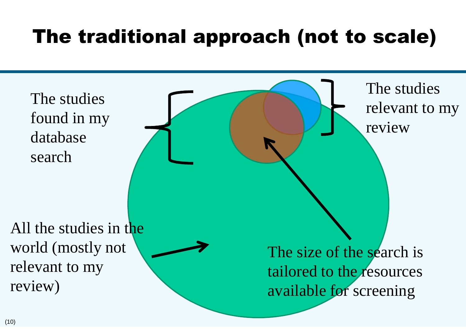#### The traditional approach (not to scale)

The studies found in my database search

The studies relevant to my review

All the studies in the world (mostly not relevant to my review)

The size of the search is tailored to the resources available for screening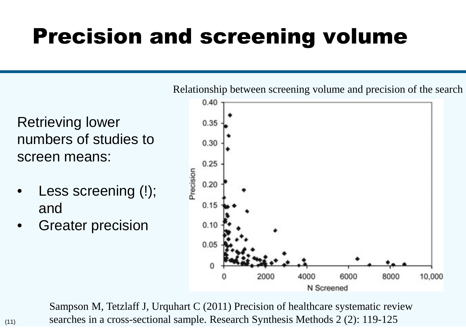## Precision and screening volume

Retrieving lower numbers of studies to screen means:

- Less screening (!); and
- Greater precision



Sampson M, Tetzlaff J, Urquhart C (2011) Precision of healthcare systematic review searches in a cross-sectional sample. Research Synthesis Methods 2 (2): 119-125

Relationship between screening volume and precision of the search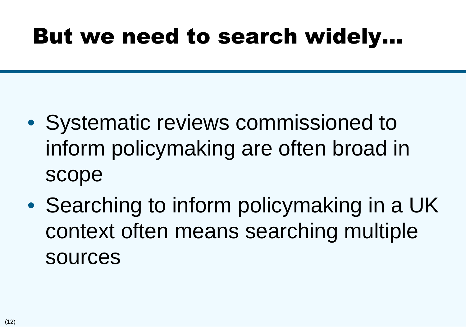#### But we need to search widely…

- Systematic reviews commissioned to inform policymaking are often broad in scope
- Searching to inform policymaking in a UK context often means searching multiple sources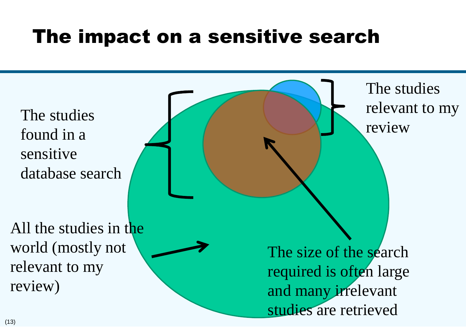#### The impact on a sensitive search

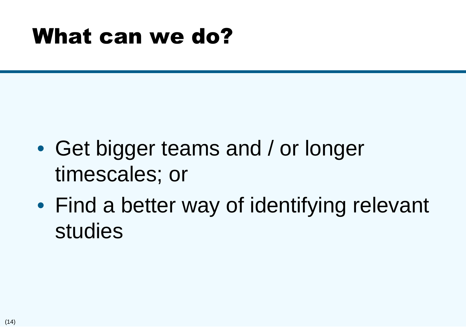#### What can we do?

- Get bigger teams and / or longer timescales; or
- Find a better way of identifying relevant studies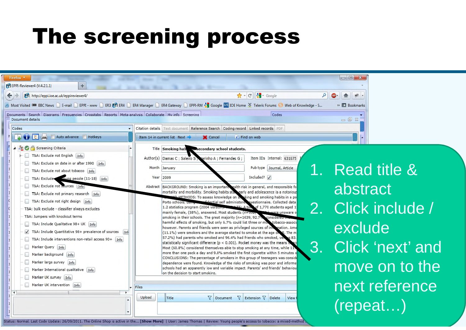#### The screening process

| Firefox *                                                                                                                                                                        |                                                                                                                                                                          |                                                              | $\Box$             |  |  |  |  |  |
|----------------------------------------------------------------------------------------------------------------------------------------------------------------------------------|--------------------------------------------------------------------------------------------------------------------------------------------------------------------------|--------------------------------------------------------------|--------------------|--|--|--|--|--|
| $+$<br>PPI EPPI-Reviewer4 (V.4.2.1.1)                                                                                                                                            |                                                                                                                                                                          |                                                              |                    |  |  |  |  |  |
| PPI http://eppi.ioe.ac.uk/eppireviewer4/                                                                                                                                         |                                                                                                                                                                          | $C$ + $C$ + Google<br>$\mathcal{L}$                          | 俞<br>避,            |  |  |  |  |  |
| Most Visited 000 BBC News   E-mail   EPPI - www   ER3 PPI ER4   ER4 Manager   ER4 Gateway   EPPI-RM S Google   DE Home $\textcircled{x}$ Telerik Forums (3) Web of Knowledge - S | » Bookmarks                                                                                                                                                              |                                                              |                    |  |  |  |  |  |
| Documents Search Diagrams Frequencies Crosstabs Reports Meta-analysis Collaborate My info Screening<br>Document details                                                          |                                                                                                                                                                          | Codes                                                        | $= 0 x$            |  |  |  |  |  |
| Codes                                                                                                                                                                            | Citation details Text document Reference Search Coding record Linked records PDF                                                                                         |                                                              |                    |  |  |  |  |  |
| <b>E</b> ( Auto advance <b>B</b> Hotkeys                                                                                                                                         | Item 14 in current list Next<br><b>X</b> Cancel                                                                                                                          | ← Find on web                                                |                    |  |  |  |  |  |
| 4 <b>20 C</b> P Screening Criteria                                                                                                                                               | Title Smoking hab we secondary school students.                                                                                                                          |                                                              |                    |  |  |  |  |  |
| T&A: Exclude not English   Info                                                                                                                                                  | Author(s) Damas C; Saleiro S;<br>tarinho A ; Fernandes G ;                                                                                                               | Item IDs Internal: 631675                                    |                    |  |  |  |  |  |
| T&A: Exclude on date in or after 1990 [Info]<br>T&A: Exclude not about tobacco [Info]                                                                                            | Month January                                                                                                                                                            | <b>ANT</b><br>Pub type   Journal, Article                    | Read title &       |  |  |  |  |  |
| T&A: Exclude soung people (11-18) Info                                                                                                                                           | Year 2009                                                                                                                                                                | Included? $\sqrt{}$                                          |                    |  |  |  |  |  |
| T&A: Exclude not sources [Info]                                                                                                                                                  | Abstract   BACKGROUND: Smoking is an important ealth risk in general, and responsible fo                                                                                 |                                                              | abstract           |  |  |  |  |  |
| T&A: Exclude not primary research Info                                                                                                                                           | mortality and morbidity. Smoking habits stake arly and adolescence is a notorious<br>NAMETHODS: To assess knowledge on straking and smoking habits in a po               |                                                              |                    |  |  |  |  |  |
| T&A: Exclude not right design   Info                                                                                                                                             | Porto schools, using a Constitutional self administered questionnaire. Collected data<br>1.2 statistics program (2004 version). When TC: A tow of 1,770 students aged 1: |                                                              | 2. Click include / |  |  |  |  |  |
| T&A: bulk exclude - classifier always excludes<br>T&A: Jumpers with knockout terms                                                                                               | mainly female, (58%), answered. Most students (n=952,<br>smoking in their schools. The great majority (n=1639, 92.7% considered a                                        | were unaware o                                               |                    |  |  |  |  |  |
| T&A: Include Qualitative 98+ UK Info                                                                                                                                             | harmful effects of smoking, but only 6.7% could list three or more tobacco-associ                                                                                        |                                                              |                    |  |  |  |  |  |
| $\sqrt{ }$ T&A: Include Quantitative 98+ prevalence of sources $1n\hbar$                                                                                                         | however. Parents and friends were seen as privileged sources of internation. Amo<br>(11.1%) were smokers and the average started to smoke at the age of                  | 5. The m                                                     | exclude            |  |  |  |  |  |
| T&A: Include interventions non-retail access 90+ Info                                                                                                                            | 57,2%) had parents who smoked and 96,4% had friends who smoked, very<br>statistically significant difference ( $p < 0.001$ ). Pocket money was the means                 | s 83.                                                        |                    |  |  |  |  |  |
| Marker Query   Info<br>Marker background Info                                                                                                                                    | Most (60.8%) considered themselves able to stop smoking at any time, while 11<br>more than one pack a day and 9.8% smoked the first cigarette within 5 minutes o         | 3.                                                           | Click 'next' and   |  |  |  |  |  |
| Marker large survey Info                                                                                                                                                         | CONCLUSIONS: The percentage of smokers in this group of teenagers was consid<br>dependence were found. Knowledge of the risks of smoking was poor and informa            |                                                              |                    |  |  |  |  |  |
| Marker International qualitative   Info                                                                                                                                          | schools had an apparently low and variable impact. Parents' and friends' behaviou<br>on the decision to start smoking.                                                   |                                                              | move on to the     |  |  |  |  |  |
| Marker UK survey [Info]                                                                                                                                                          |                                                                                                                                                                          |                                                              |                    |  |  |  |  |  |
| Marker UK intervention   Info                                                                                                                                                    | <b>Files</b>                                                                                                                                                             |                                                              | next reference     |  |  |  |  |  |
|                                                                                                                                                                                  | Upload<br>Title                                                                                                                                                          | $\nabla$ Document $\nabla$ Extension $\nabla$ Delete<br>View |                    |  |  |  |  |  |
|                                                                                                                                                                                  |                                                                                                                                                                          |                                                              | (repeat)           |  |  |  |  |  |
| Status: Normal. Last Code Update: 26/09/2011. The Online Shop is active in the [Show More]   User: James Thomas   Review: Young people's access to tobacco: a mixed-method       |                                                                                                                                                                          |                                                              |                    |  |  |  |  |  |
|                                                                                                                                                                                  |                                                                                                                                                                          |                                                              |                    |  |  |  |  |  |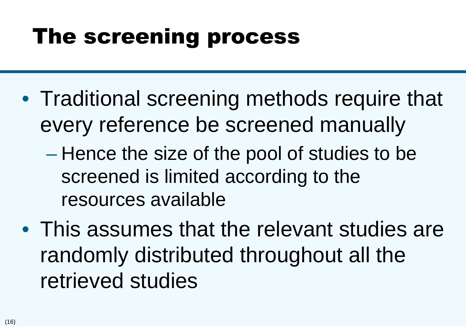#### The screening process

- Traditional screening methods require that every reference be screened manually
	- Hence the size of the pool of studies to be screened is limited according to the resources available
- This assumes that the relevant studies are randomly distributed throughout all the retrieved studies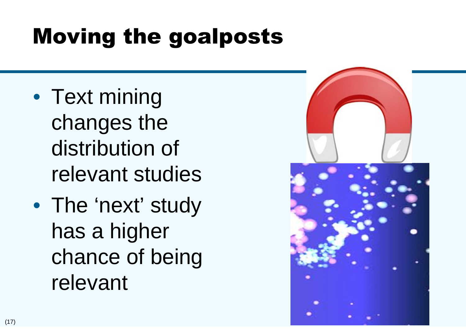## Moving the goalposts

- Text mining changes the distribution of relevant studies
- The 'next' study has a higher chance of being relevant

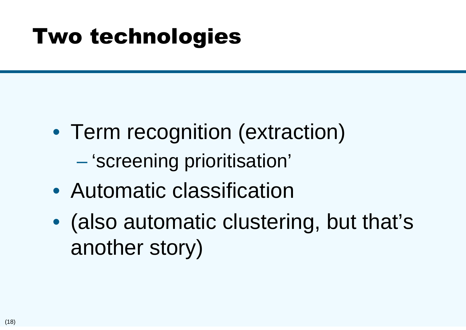#### Two technologies

- Term recognition (extraction) – 'screening prioritisation'
- Automatic classification
- (also automatic clustering, but that's another story)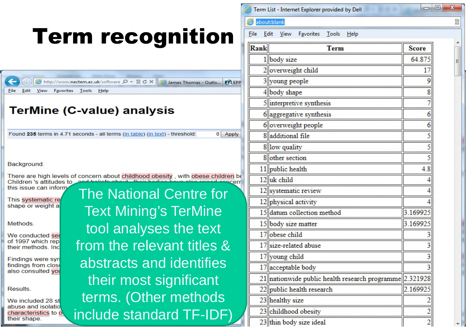#### Term List - Internet Explorer provided by Dell about:blank Term recognition File Edit View Favorites Tools Help Rank **Term Score** 1 body size 64 875 2 overweight child 17 3 voung people → http://www.nactem.ac.uk/software Q + 図 d X James Thomas - Outlow PP EPP File Edit View Favorites Tools Help 4 body shape 5 interpretive synthesis **TerMine (C-value) analysis**  $6$  aggregative synthesis 6 overweight people Found 235 terms in 4.71 seconds - all terms (in table) (in text) - threshold:  $0$  Apply 8 additional file 8 low quality 8 other section Background, 11 public health 4.8 There are high levels of concern about childhood obesity, with obese children be 12 uk child Children 's attitudes to this issue can inform The National Centre for 12 systematic review This systematic re 12 physical activity shape or weight a Text Mining's TerMine 15 datum collection method 3.169925 15 body size matter 3.169925 Methods. tool analyses the text 17 obese child We conducted ser of 1997 which rep from the relevant titles & 17 size-related abuse their methods, Inc. 17 young child **Findings were syn** abstracts and identifies findings from close 17 acceptable body also consulted you their most significant 21 nationwide public health research programme 2.321928 22 public health research 2.169925 Results. terms. (Other methods 23 healthy size We included 28 st abuse and isolatio include standard TF-IDF)23 childhood obesity characteristics to o their shape. 23 thin body size ideal

 $\Box$ e

 $\overline{2}$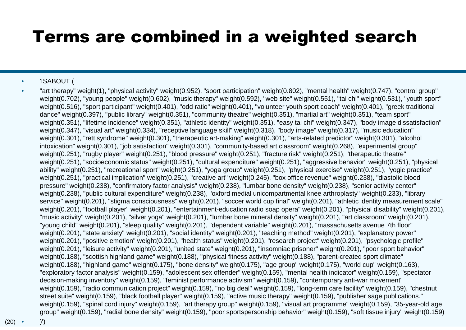#### Terms are combined in a weighted search

#### • 'ISABOUT (

• "art therapy" weight(1), "physical activity" weight(0.952), "sport participation" weight(0.802), "mental health" weight(0.747), "control group" weight(0.702), "young people" weight(0.602), "music therapy" weight(0.592), "web site" weight(0.551), "tai chi" weight(0.531), "youth sport" weight(0.516), "sport participant" weight(0.401), "odd ratio" weight(0.401), "volunteer youth sport coach" weight(0.401), "greek traditional dance" weight(0.397), "public library" weight(0.351), "community theatre" weight(0.351), "martial art" weight(0.351), "team sport" weight(0.351), "lifetime incidence" weight(0.351), "athletic identity" weight(0.351), "easy tai chi" weight(0.347), "body image dissatisfaction" weight(0.347), "visual art" weight(0.334), "receptive language skill" weight(0.318), "body image" weight(0.317), "music education" weight(0.301), "rett syndrome" weight(0.301), "therapeutic art-making" weight(0.301), "arts-related predictor" weight(0.301), "alcohol intoxication" weight(0.301), "job satisfaction" weight(0.301), "community-based art classroom" weight(0.268), "experimental group" weight(0.251), "rugby player" weight(0.251), "blood pressure" weight(0.251), "fracture risk" weight(0.251), "therapeutic theatre" weight(0.251), "socioeconomic status" weight(0.251), "cultural expenditure" weight(0.251), "aggressive behavior" weight(0.251), "physical ability" weight(0.251), "recreational sport" weight(0.251), "yoga group" weight(0.251), "physical exercise" weight(0.251), "yogic practice" weight(0.251), "practical implication" weight(0.251), "creative art" weight(0.245), "box office revenue" weight(0.238), "diastolic blood pressure" weight(0.238), "confirmatory factor analysis" weight(0.238), "lumbar bone density" weight(0.238), "senior activity center" weight(0.238), "public cultural expenditure" weight(0.238), "oxford medial unicompartmental knee arthroplasty" weight(0.233), "library service" weight(0.201), "stigma consciousness" weight(0.201), "soccer world cup final" weight(0.201), "athletic identity measurement scale" weight(0.201), "football player" weight(0.201), "entertainment-education radio soap opera" weight(0.201), "physical disability" weight(0.201), "music activity" weight(0.201), "silver yoga" weight(0.201), "lumbar bone mineral density" weight(0.201), "art classroom" weight(0.201), "young child" weight(0.201), "sleep quality" weight(0.201), "dependent variable" weight(0.201), "massachusetts avenue 7th floor" weight(0.201), "state anxiety" weight(0.201), "social identity" weight(0.201), "teaching method" weight(0.201), "explanatory power" weight(0.201), "positive emotion" weight(0.201), "health status" weight(0.201), "research project" weight(0.201), "psychologic profile" weight(0.201), "leisure activity" weight(0.201), "united state" weight(0.201), "insomniac prisoner" weight(0.201), "poor sport behavior" weight(0.188), "scottish highland game" weight(0.188), "physical fitness activity" weight(0.188), "parent-created sport climate" weight(0.188), "highland game" weight(0.175), "bone density" weight(0.175), "age group" weight(0.175), "world cup" weight(0.163), "exploratory factor analysis" weight(0.159), "adolescent sex offender" weight(0.159), "mental health indicator" weight(0.159), "spectator decision-making inventory" weight(0.159), "feminist performance activism" weight(0.159), "contemporary anti-war movement" weight(0.159), "radio communication project" weight(0.159), "no big deal" weight(0.159), "long-term care facility" weight(0.159), "chestnut street suite" weight(0.159), "black football player" weight(0.159), "active music therapy" weight(0.159), "publisher sage publications." weight(0.159), "spinal cord injury" weight(0.159), "art therapy group" weight(0.159), "visual art programme" weight(0.159), "35-year-old age group" weight(0.159), "radial bone density" weight(0.159), "poor sportspersonship behavior" weight(0.159), "soft tissue injury" weight(0.159)

 $(20)$   $\bullet$ 

• )')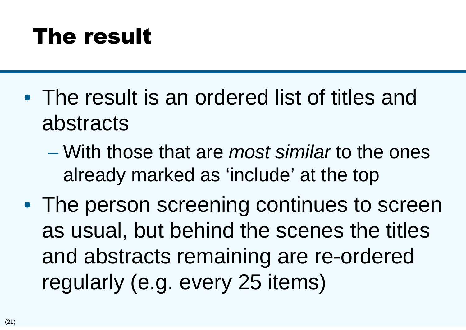### The result

- The result is an ordered list of titles and abstracts
	- With those that are *most similar* to the ones already marked as 'include' at the top
- The person screening continues to screen as usual, but behind the scenes the titles and abstracts remaining are re-ordered regularly (e.g. every 25 items)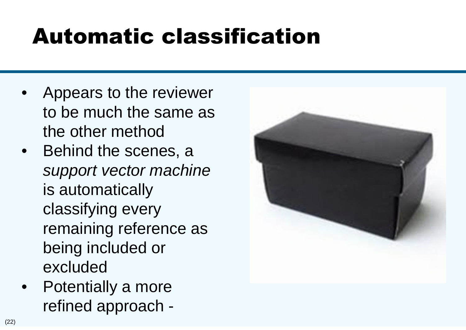## Automatic classification

- Appears to the reviewer to be much the same as the other method
- Behind the scenes, a *support vector machine* is automatically classifying every remaining reference as being included or excluded
- Potentially a more refined approach -

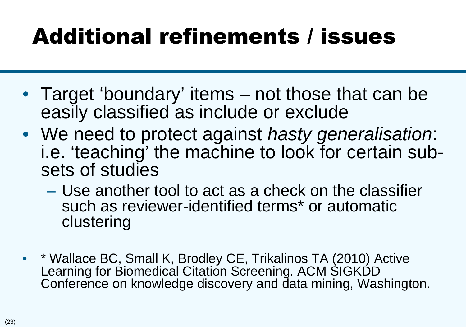## Additional refinements / issues

- Target 'boundary' items not those that can be easily classified as include or exclude
- We need to protect against *hasty generalisation*: i.e. 'teaching' the machine to look for certain subsets of studies
	- Use another tool to act as a check on the classifier such as reviewer-identified terms\* or automatic clustering
- \* Wallace BC, Small K, Brodley CE, Trikalinos TA (2010) Active Learning for Biomedical Citation Screening. ACM SIGKDD Conference on knowledge discovery and data mining, Washington.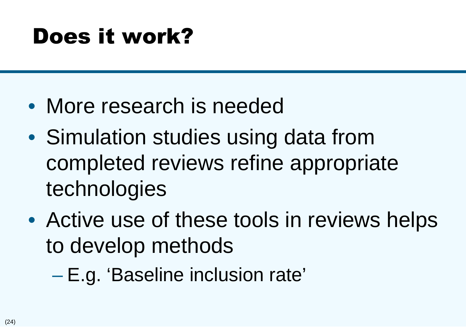## Does it work?

- More research is needed
- Simulation studies using data from completed reviews refine appropriate technologies
- Active use of these tools in reviews helps to develop methods
	- E.g. 'Baseline inclusion rate'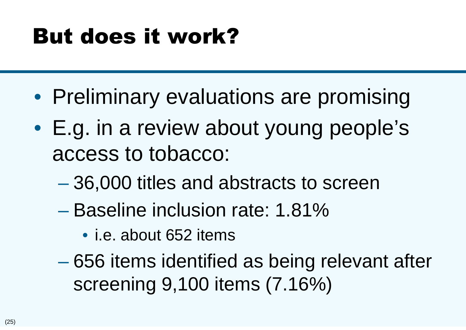## But does it work?

- Preliminary evaluations are promising
- E.g. in a review about young people's access to tobacco:
	- 36,000 titles and abstracts to screen
	- Baseline inclusion rate: 1.81%
		- i.e. about 652 items
	- 656 items identified as being relevant after screening 9,100 items (7.16%)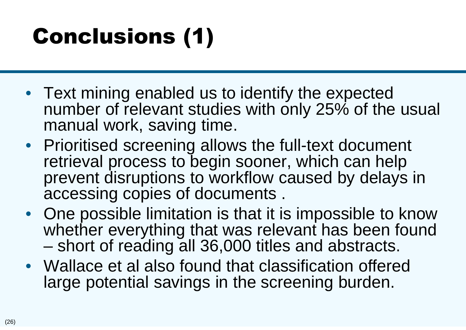## Conclusions (1)

- Text mining enabled us to identify the expected number of relevant studies with only 25% of the usual manual work, saving time.
- Prioritised screening allows the full-text document retrieval process to begin sooner, which can help prevent disruptions to workflow caused by delays in accessing copies of documents .
- One possible limitation is that it is impossible to know whether everything that was relevant has been found – short of reading all 36,000 titles and abstracts.
- Wallace et al also found that classification offered large potential savings in the screening burden.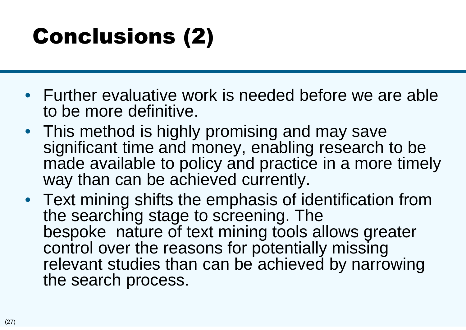# Conclusions (2)

- Further evaluative work is needed before we are able to be more definitive.
- This method is highly promising and may save significant time and money, enabling research to be made available to policy and practice in a more timely way than can be achieved currently.
- Text mining shifts the emphasis of identification from the searching stage to screening. The bespoke nature of text mining tools allows greater control over the reasons for potentially missing relevant studies than can be achieved by narrowing the search process.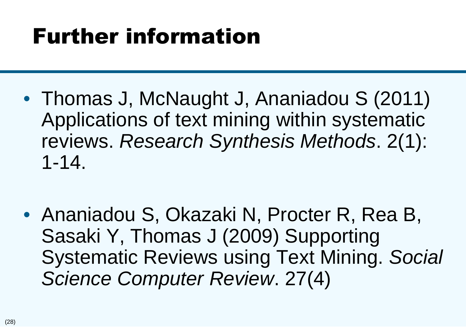## Further information

- Thomas J, McNaught J, Ananiadou S (2011) Applications of text mining within systematic reviews. *Research Synthesis Methods*. 2(1): 1-14.
- Ananiadou S, Okazaki N, Procter R, Rea B, Sasaki Y, Thomas J (2009) Supporting Systematic Reviews using Text Mining. *Social Science Computer Review*. 27(4)